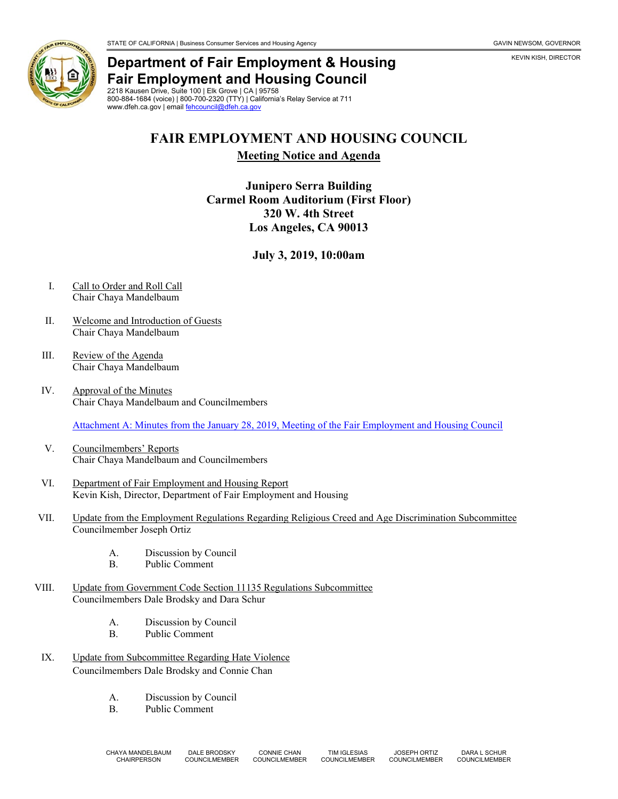



# **Department of Fair Employment & Housing Fair Employment and Housing Council**

2218 Kausen Drive, Suite 100 | Elk Grove | CA | 95758 800-884-1684 (voice) | 800-700-2320 (TTY) | California's Relay Service at 711 www.dfeh.ca.gov | emai[l fehcouncil@dfeh.ca.gov](mailto:fehcouncil@dfeh.ca.gov)

## **FAIR EMPLOYMENT AND HOUSING COUNCIL**

**Meeting Notice and Agenda**

#### **Junipero Serra Building Carmel Room Auditorium (First Floor) 320 W. 4th Street Los Angeles, CA 90013**

### **July 3, 2019, 10:00am**

- I. Call to Order and Roll Call Chair Chaya Mandelbaum
- II. Welcome and Introduction of Guests Chair Chaya Mandelbaum
- III. Review of the Agenda Chair Chaya Mandelbaum
- IV. Approval of the Minutes Chair Chaya Mandelbaum and Councilmembers

Attachment A: Minutes from the January [28, 2019, Meeting of the Fair Employment and Housing Council](https://www.dfeh.ca.gov/wp-content/uploads/sites/32/2019/06/AttachA-FEHCMinutes2019Jan28.pdf)

- V. Councilmembers' Reports Chair Chaya Mandelbaum and Councilmembers
- VI. Department of Fair Employment and Housing Report Kevin Kish, Director, Department of Fair Employment and Housing
- VII. Update from the Employment Regulations Regarding Religious Creed and Age Discrimination Subcommittee Councilmember Joseph Ortiz
	- A. Discussion by Council
	- B. Public Comment
- VIII. Update from Government Code Section 11135 Regulations Subcommittee Councilmembers Dale Brodsky and Dara Schur
	- A. Discussion by Council<br>B. Public Comment
	- Public Comment
- IX. Update from Subcommittee Regarding Hate Violence Councilmembers Dale Brodsky and Connie Chan
	- A. Discussion by Council
	- B. Public Comment